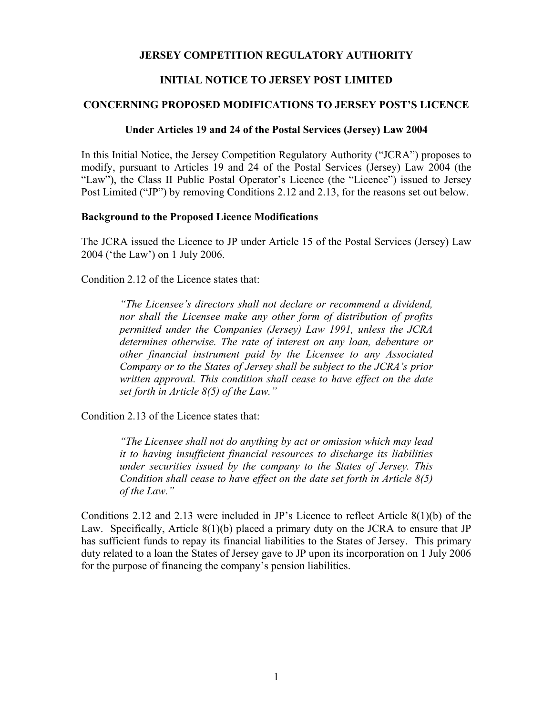## **JERSEY COMPETITION REGULATORY AUTHORITY**

# **INITIAL NOTICE TO JERSEY POST LIMITED**

## **CONCERNING PROPOSED MODIFICATIONS TO JERSEY POST'S LICENCE**

## **Under Articles 19 and 24 of the Postal Services (Jersey) Law 2004**

In this Initial Notice, the Jersey Competition Regulatory Authority ("JCRA") proposes to modify, pursuant to Articles 19 and 24 of the Postal Services (Jersey) Law 2004 (the "Law"), the Class II Public Postal Operator's Licence (the "Licence") issued to Jersey Post Limited ("JP") by removing Conditions 2.12 and 2.13, for the reasons set out below.

#### **Background to the Proposed Licence Modifications**

The JCRA issued the Licence to JP under Article 15 of the Postal Services (Jersey) Law 2004 ('the Law') on 1 July 2006.

Condition 2.12 of the Licence states that:

*"The Licensee's directors shall not declare or recommend a dividend, nor shall the Licensee make any other form of distribution of profits permitted under the Companies (Jersey) Law 1991, unless the JCRA determines otherwise. The rate of interest on any loan, debenture or other financial instrument paid by the Licensee to any Associated Company or to the States of Jersey shall be subject to the JCRA's prior written approval. This condition shall cease to have effect on the date set forth in Article 8(5) of the Law."* 

Condition 2.13 of the Licence states that:

*"The Licensee shall not do anything by act or omission which may lead it to having insufficient financial resources to discharge its liabilities under securities issued by the company to the States of Jersey. This Condition shall cease to have effect on the date set forth in Article 8(5) of the Law."* 

Conditions 2.12 and 2.13 were included in JP's Licence to reflect Article 8(1)(b) of the Law. Specifically, Article 8(1)(b) placed a primary duty on the JCRA to ensure that JP has sufficient funds to repay its financial liabilities to the States of Jersey. This primary duty related to a loan the States of Jersey gave to JP upon its incorporation on 1 July 2006 for the purpose of financing the company's pension liabilities.